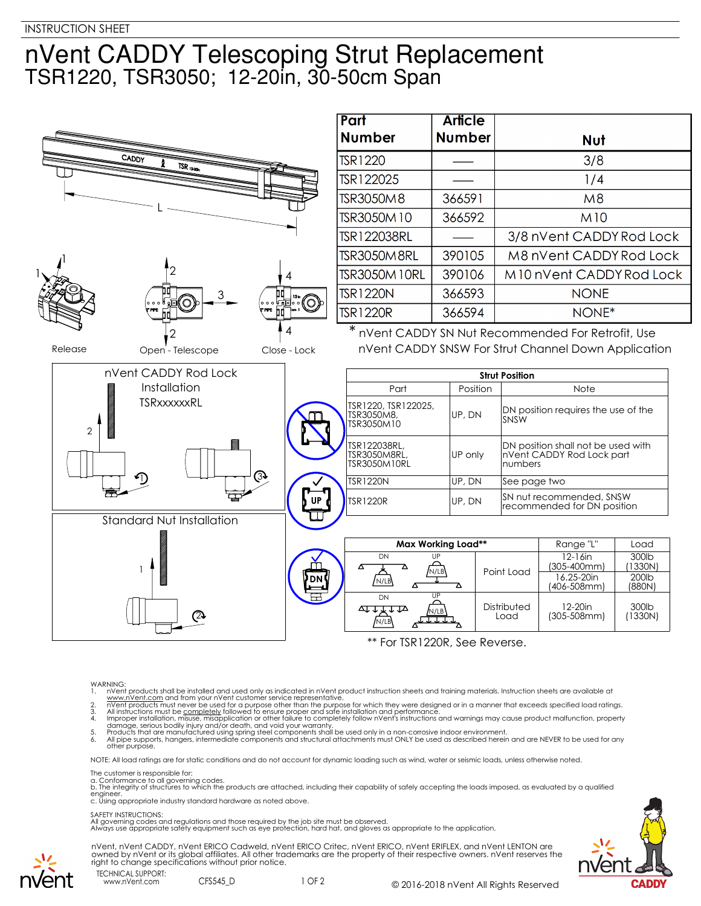## nVent CADDY Telescoping Strut Replacement TSR1220, TSR3050; 12-20in, 30-50cm Span



## WARNING:

- 
- 
- 1. In Went products shall be installed and used only as indicated in n'vent product instruction sheets and training materials. Instruction sheets are available at www.n'vent.com and from your n'vent customer service repres
- 

NOTE: All load ratings are for static conditions and do not account for dynamic loading such as wind, water or seismic loads, unless otherwise noted.

The customer is responsible for:

a. Conformance to all governing codes.<br>b. The integrity of structures to which the products are attached, including their capability of safely accepting the loads imposed, as evaluated by a qualified engineer. c. Using appropriate industry standard hardware as noted above.

## SAFETY INSTRUCTIONS:

All governing codes and regulations and those required by the job site must be observed. Always use appropriate safety equipment such as eye protection, hard hat, and gloves as appropriate to the application.







www.nVent.com CFS545 D

1 OF 2 © 2016-2018 nVent All Rights Reserved